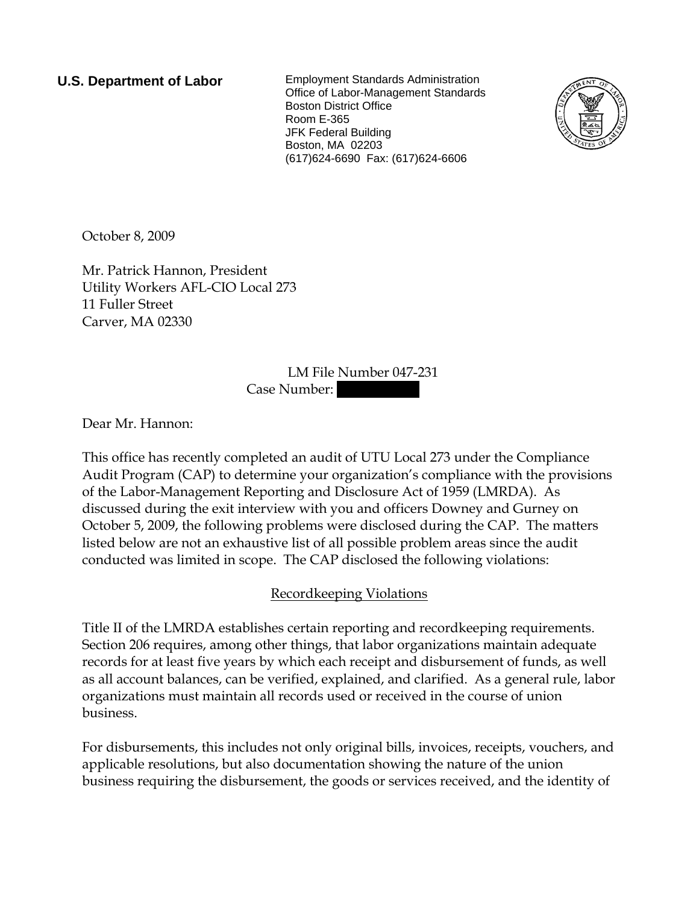**U.S. Department of Labor** Employment Standards Administration Office of Labor-Management Standards Boston District Office Room E-365 JFK Federal Building Boston, MA 02203 (617)624-6690 Fax: (617)624-6606



October 8, 2009

Mr. Patrick Hannon, President Utility Workers AFL-CIO Local 273 11 Fuller Street Carver, MA 02330

> LM File Number 047-231 Case Number:

Dear Mr. Hannon:

This office has recently completed an audit of UTU Local 273 under the Compliance Audit Program (CAP) to determine your organization's compliance with the provisions of the Labor-Management Reporting and Disclosure Act of 1959 (LMRDA). As discussed during the exit interview with you and officers Downey and Gurney on October 5, 2009, the following problems were disclosed during the CAP. The matters listed below are not an exhaustive list of all possible problem areas since the audit conducted was limited in scope. The CAP disclosed the following violations:

# Recordkeeping Violations

Title II of the LMRDA establishes certain reporting and recordkeeping requirements. Section 206 requires, among other things, that labor organizations maintain adequate records for at least five years by which each receipt and disbursement of funds, as well as all account balances, can be verified, explained, and clarified. As a general rule, labor organizations must maintain all records used or received in the course of union business.

For disbursements, this includes not only original bills, invoices, receipts, vouchers, and applicable resolutions, but also documentation showing the nature of the union business requiring the disbursement, the goods or services received, and the identity of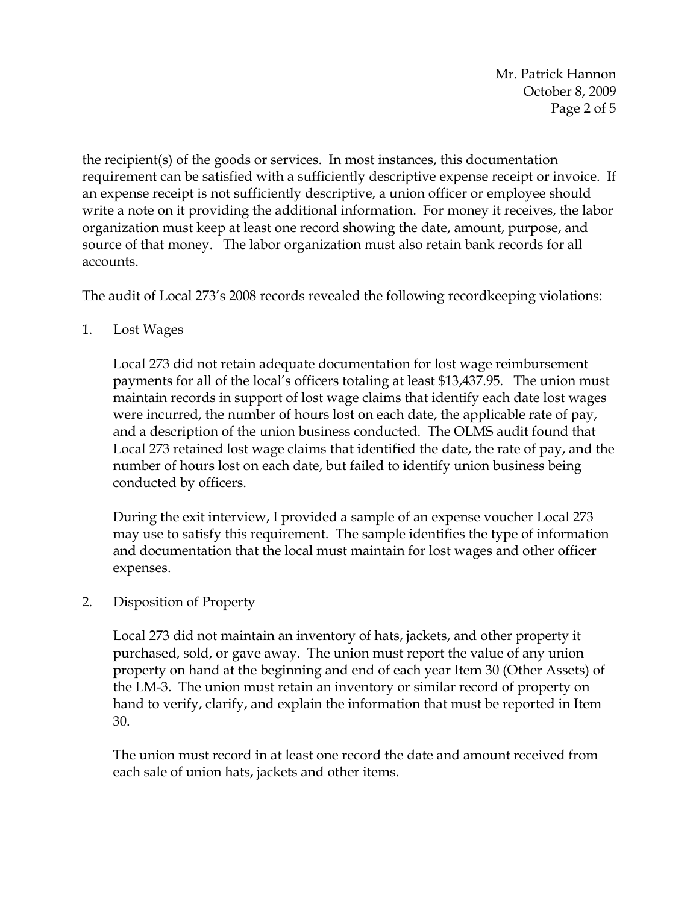Mr. Patrick Hannon October 8, 2009 Page 2 of 5

the recipient(s) of the goods or services. In most instances, this documentation requirement can be satisfied with a sufficiently descriptive expense receipt or invoice. If an expense receipt is not sufficiently descriptive, a union officer or employee should write a note on it providing the additional information. For money it receives, the labor organization must keep at least one record showing the date, amount, purpose, and source of that money. The labor organization must also retain bank records for all accounts.

The audit of Local 273's 2008 records revealed the following recordkeeping violations:

1. Lost Wages

Local 273 did not retain adequate documentation for lost wage reimbursement payments for all of the local's officers totaling at least \$13,437.95. The union must maintain records in support of lost wage claims that identify each date lost wages were incurred, the number of hours lost on each date, the applicable rate of pay, and a description of the union business conducted. The OLMS audit found that Local 273 retained lost wage claims that identified the date, the rate of pay, and the number of hours lost on each date, but failed to identify union business being conducted by officers.

During the exit interview, I provided a sample of an expense voucher Local 273 may use to satisfy this requirement. The sample identifies the type of information and documentation that the local must maintain for lost wages and other officer expenses.

# 2. Disposition of Property

Local 273 did not maintain an inventory of hats, jackets, and other property it purchased, sold, or gave away. The union must report the value of any union property on hand at the beginning and end of each year Item 30 (Other Assets) of the LM-3. The union must retain an inventory or similar record of property on hand to verify, clarify, and explain the information that must be reported in Item 30.

The union must record in at least one record the date and amount received from each sale of union hats, jackets and other items.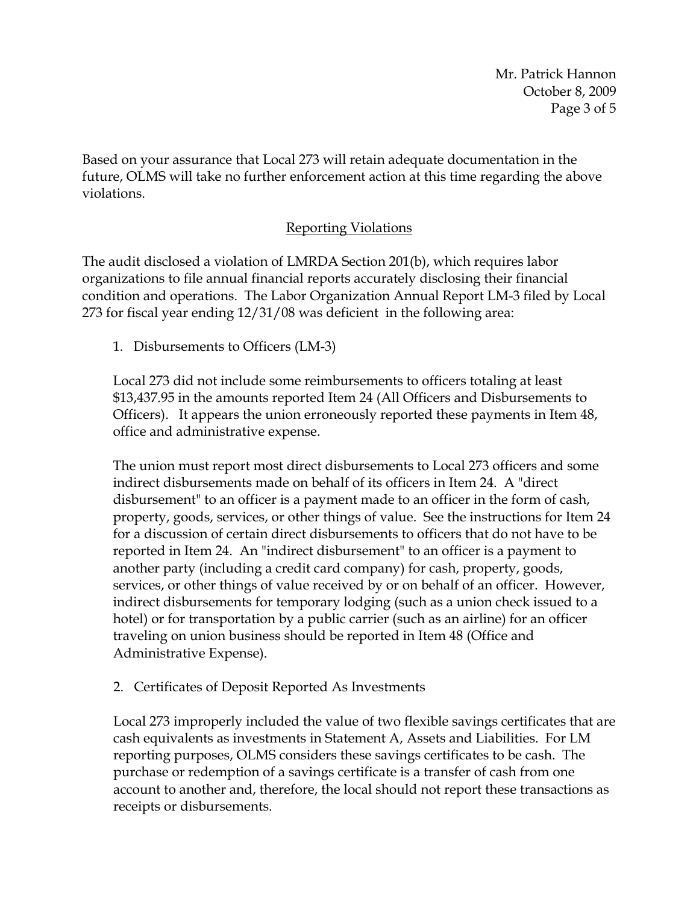Mr. Patrick Hannon October 8, 2009 Page 3 of 5

Based on your assurance that Local 273 will retain adequate documentation in the future, OLMS will take no further enforcement action at this time regarding the above violations.

### Reporting Violations

The audit disclosed a violation of LMRDA Section 201(b), which requires labor organizations to file annual financial reports accurately disclosing their financial condition and operations. The Labor Organization Annual Report LM-3 filed by Local 273 for fiscal year ending 12/31/08 was deficient in the following area:

1. Disbursements to Officers (LM-3)

Local 273 did not include some reimbursements to officers totaling at least \$13,437.95 in the amounts reported Item 24 (All Officers and Disbursements to Officers). It appears the union erroneously reported these payments in Item 48, office and administrative expense.

The union must report most direct disbursements to Local 273 officers and some indirect disbursements made on behalf of its officers in Item 24. A "direct disbursement" to an officer is a payment made to an officer in the form of cash, property, goods, services, or other things of value. See the instructions for Item 24 for a discussion of certain direct disbursements to officers that do not have to be reported in Item 24. An "indirect disbursement" to an officer is a payment to another party (including a credit card company) for cash, property, goods, services, or other things of value received by or on behalf of an officer. However, indirect disbursements for temporary lodging (such as a union check issued to a hotel) or for transportation by a public carrier (such as an airline) for an officer traveling on union business should be reported in Item 48 (Office and Administrative Expense).

# 2. Certificates of Deposit Reported As Investments

Local 273 improperly included the value of two flexible savings certificates that are cash equivalents as investments in Statement A, Assets and Liabilities. For LM reporting purposes, OLMS considers these savings certificates to be cash. The purchase or redemption of a savings certificate is a transfer of cash from one account to another and, therefore, the local should not report these transactions as receipts or disbursements.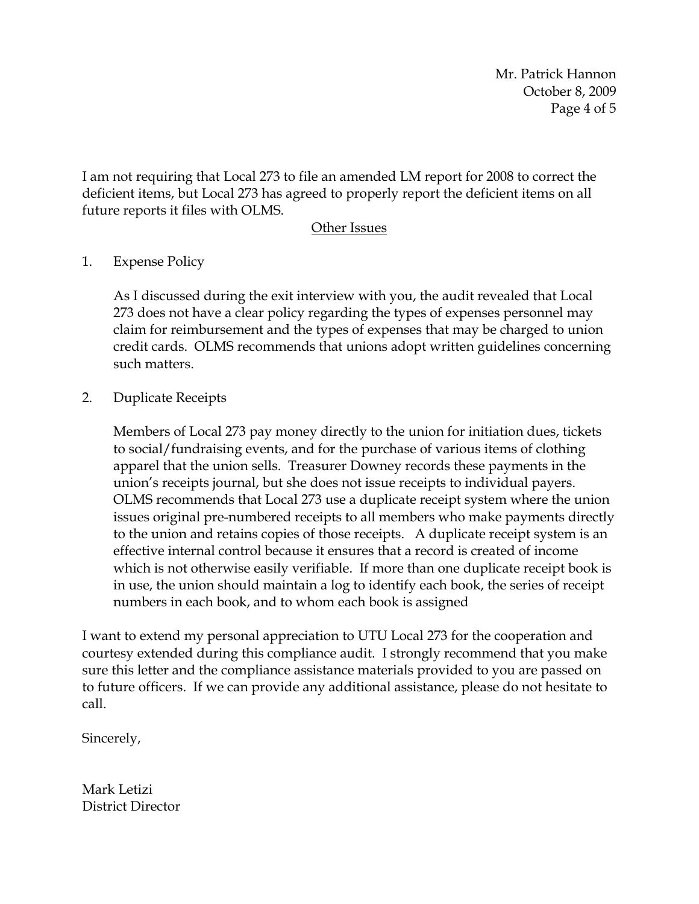Mr. Patrick Hannon October 8, 2009 Page 4 of 5

I am not requiring that Local 273 to file an amended LM report for 2008 to correct the deficient items, but Local 273 has agreed to properly report the deficient items on all future reports it files with OLMS.

#### Other Issues

### 1. Expense Policy

As I discussed during the exit interview with you, the audit revealed that Local 273 does not have a clear policy regarding the types of expenses personnel may claim for reimbursement and the types of expenses that may be charged to union credit cards. OLMS recommends that unions adopt written guidelines concerning such matters.

#### 2. Duplicate Receipts

Members of Local 273 pay money directly to the union for initiation dues, tickets to social/fundraising events, and for the purchase of various items of clothing apparel that the union sells. Treasurer Downey records these payments in the union's receipts journal, but she does not issue receipts to individual payers. OLMS recommends that Local 273 use a duplicate receipt system where the union issues original pre-numbered receipts to all members who make payments directly to the union and retains copies of those receipts. A duplicate receipt system is an effective internal control because it ensures that a record is created of income which is not otherwise easily verifiable. If more than one duplicate receipt book is in use, the union should maintain a log to identify each book, the series of receipt numbers in each book, and to whom each book is assigned

I want to extend my personal appreciation to UTU Local 273 for the cooperation and courtesy extended during this compliance audit. I strongly recommend that you make sure this letter and the compliance assistance materials provided to you are passed on to future officers. If we can provide any additional assistance, please do not hesitate to call.

Sincerely,

Mark Letizi District Director